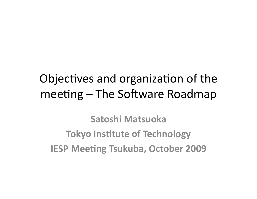#### Objectives and organization of the meeting – The Software Roadmap

**Satoshi(Matsuoka( Tokyo Institute of Technology IESP Meeting Tsukuba, October 2009**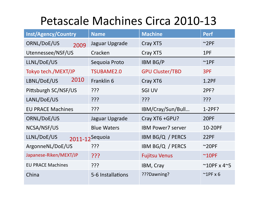#### Petascale Machines Circa 2010-13

| <b>Inst/Agency/Country</b> | <b>Name</b>        | <b>Machine</b>           | <b>Perf</b>                    |
|----------------------------|--------------------|--------------------------|--------------------------------|
| ORNL/DoE/US<br>2009        | Jaguar Upgrade     | Cray XT5                 | $~^{\sim}$ 2PF                 |
| Utennessee/NSF/US          | Cracken            | Cray XT5                 | 1PF                            |
| LLNL/DoE/US                | Sequoia Proto      | <b>IBM BG/P</b>          | $^{\sim}$ 1PF                  |
| Tokyo tech./MEXT/JP        | <b>TSUBAME2.0</b>  | <b>GPU Cluster/TBD</b>   | 3PF                            |
| 2010<br>LBNL/DoE/US        | Franklin 6         | Cray XT6                 | 1.2PF                          |
| Pittsburgh SC/NSF/US       | ???                | <b>SGI UV</b>            | 2PF?                           |
| LANL/DoE/US                | ַיִּרְי            | ַרְרְךָ                  | ַרְרְךָ                        |
| <b>EU PRACE Machines</b>   | ַרְרְךָ            | IBM/Cray/Sun/Bull        | $1-2PF?$                       |
| ORNL/DoE/US                | Jaguar Upgrade     | Cray XT6 +GPU?           | 20PF                           |
| NCSA/NSF/US                | <b>Blue Waters</b> | <b>IBM Power7 server</b> | 10-20PF                        |
| LLNL/DoE/US                | 2011-12Sequoia     | IBM BG/Q / PERCS         | 22PF                           |
| ArgonneNL/DoE/US           | ???                | IBM BG/Q / PERCS         | $~20$ PF                       |
| Japanese-Riken/MEXT/JP     | ַרְרְי             | <b>Fujitsu Venus</b>     | $~^{\sim}$ 10PF                |
| <b>EU PRACE Machines</b>   | ַרְרְךָ            | IBM, Cray                | $^{\sim}$ 10PF x 4 $^{\sim}$ 5 |
| China                      | 5-6 Installations  | ???Dawning?              | $\sim$ 1PF x 6                 |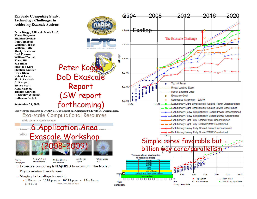**ExaScale Computing Study: Technology Challenges in Achieving Exascale Systems** 

Peter Kogge, Editor & Study Lead Keren Bergman **Shekhar Borkar** Dan Campbell William Carlson **William Dally Monty Denneau** Paul Franzon William Harrod **Kerry Hill Jon Hiller Sherman Karp Stephen Keckler Dean Klein Robert Lucas Mark Richards** Al Scarpelli **Steven Scott Allan Snavely Thomas Sterling** R. Stanley Williams **Katherine Yelick** 

September 28, 2008

Nuclear

Astrophysics

This work was sponsored by DARPA IPTO in the ExaScale Computing Study with Dr. William Harrod **Exa-scale Computational Resources** (slide courtesy Martin Savage) **Execution Application Anequies** 

effort Exascale Workshop (2008-2009)

Cold QCD and Hot and Dense Accelerator Nuclear Structure Physics **Nuclear Forces** QCD and Reactions □ Exa-scale computing is REQUIRED to accomplish the Nuclear

Physics mission in each area

- $\Box$  Staging to Exa-flops is crucial:
	- **1** 1 Pflop-yr to 10 Pflop-yrs to 100 Pflop-yrs to 1 Exa-flop-yr Paul Messina June 28, 2009 (sustained)

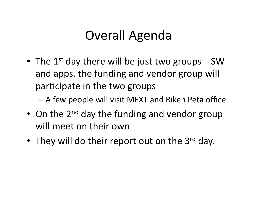## Overall Agenda

• The  $1^{st}$  day there will be just two groups---SW and apps. the funding and vendor group will participate in the two groups

– A)few)people)will)visit)MEXT)and)Riken)Peta)office)

- On the  $2^{nd}$  day the funding and vendor group will meet on their own
- They will do their report out on the  $3^{rd}$  day.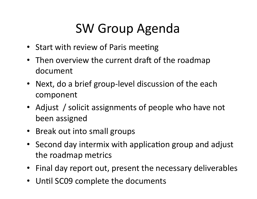# SW)Group)Agenda

- Start with review of Paris meeting
- Then overview the current draft of the roadmap document)
- Next, do a brief group-level discussion of the each component)
- Adjust / solicit assignments of people who have not been assigned
- Break out into small groups
- Second day intermix with application group and adjust the roadmap metrics
- Final day report out, present the necessary deliverables
- Until SC09 complete the documents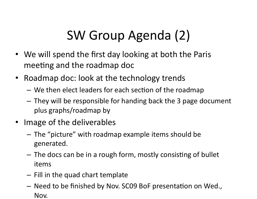# SW Group Agenda (2)

- We will spend the first day looking at both the Paris meeting and the roadmap doc
- Roadmap doc: look at the technology trends
	- We then elect leaders for each section of the roadmap
	- $-$  They will be responsible for handing back the 3 page document plus)graphs/roadmap)by))
- Image of the deliverables
	- $-$  The "picture" with roadmap example items should be generated.))
	- $-$  The docs can be in a rough form, mostly consisting of bullet items)
	- $-$  Fill in the quad chart template
	- $-$  Need to be finished by Nov. SC09 BoF presentation on Wed., Nov.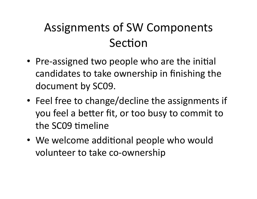## Assignments of SW Components Section

- Pre-assigned two people who are the initial candidates to take ownership in finishing the document by SC09.
- Feel free to change/decline the assignments if you feel a better fit, or too busy to commit to the SC09 timeline
- We welcome additional people who would volunteer to take co-ownership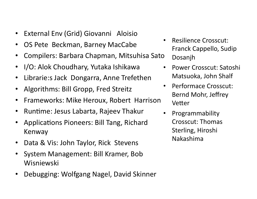- External Env (Grid) Giovanni Aloisio
- OS Pete Beckman, Barney MacCabe
- Compilers: Barbara Chapman, Mitsuhisa Sato
- I/O: Alok Choudhary, Yutaka Ishikawa
- Librarie:s Jack Dongarra, Anne Trefethen
- Algorithms: Bill Gropp, Fred Streitz
- Frameworks: Mike Heroux, Robert Harrison
- Runtime: Jesus Labarta, Rajeev Thakur
- Applications Pioneers: Bill Tang, Richard **Kenway**
- Data & Vis: John Taylor, Rick Stevens
- System Management: Bill Kramer, Bob Wisniewski))
- Debugging: Wolfgang Nagel, David Skinner
- Resilience Crosscut: Franck Cappello, Sudip Dosanjh))
- Power Crosscut: Satoshi Matsuoka, John Shalf
- Performace Crosscut: Bernd Mohr, Jeffrey Vetter
- Programmability) Crosscut: Thomas Sterling, Hiroshi Nakashima)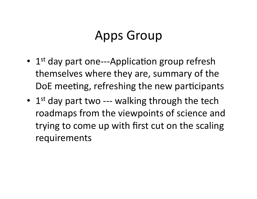### Apps Group

- $1<sup>st</sup>$  day part one---Application group refresh themselves where they are, summary of the DoE meeting, refreshing the new participants
- 1st day part two --- walking through the tech roadmaps from the viewpoints of science and trying to come up with first cut on the scaling requirements)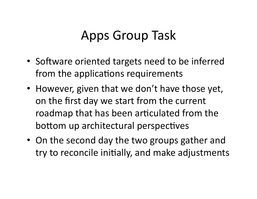## Apps Group Task

- Software oriented targets need to be inferred from the applications requirements
- However, given that we don't have those yet, on the first day we start from the current roadmap that has been articulated from the bottom up architectural perspectives
- On the second day the two groups gather and try to reconcile initially, and make adjustments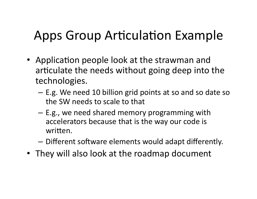# Apps Group Articulation Example

- Application people look at the strawman and articulate the needs without going deep into the technologies.)
	- E.g. We need 10 billion grid points at so and so date so the SW needs to scale to that
	- $-$  E.g., we need shared memory programming with accelerators because that is the way our code is written.
	- $-$  Different software elements would adapt differently.
- They will also look at the roadmap document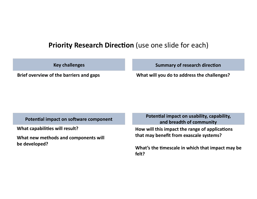#### **Priority Research Direction** (use one slide for each)

**Key challenges** 

**Summary of research direction** 

Brief overview of the barriers and gaps **(b)** What will you do to address the challenges?

**What capabilities will result?** 

What new methods and components will be developed?

Potential impact on software component<br>(internal) Potential impact on usability, capability, and breadth of community

> **How will this impact the range of applications** that may benefit from exascale systems?

What's the timescale in which that impact may be **felt?(**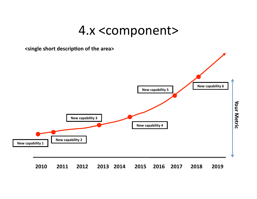#### 4.x)<component>)

<single short description of the area>